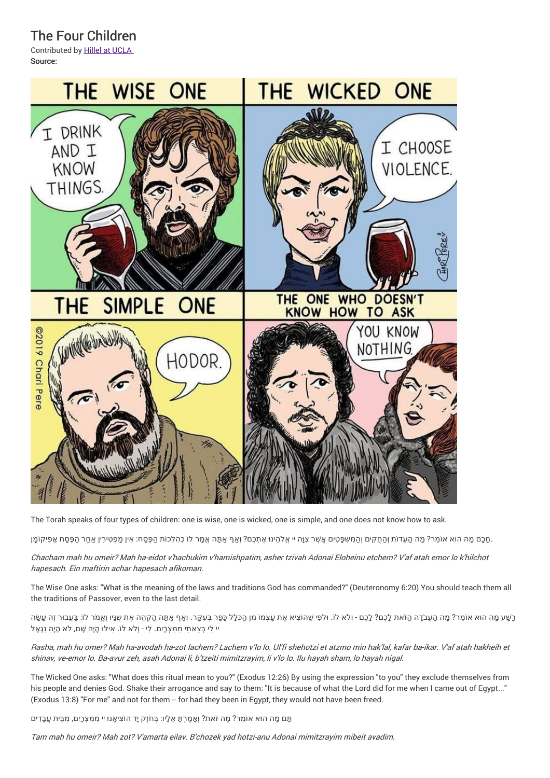The Four Children

Contributed by Hillel at UCLA Source:



The Torah speaks of four types of children: one is wise, one is wicked, one is simple, and one does not know how to ask.

ָחָכֶם מָה הוּא אוֹמֵר? מַה הָעֵדוֹת וְהַחֻקִּים וְהַמִּשְׁפָּטִים אֲשֶׁר צִוָּה יי אֱלֹהֵינוּ אֶתְכֶם? וְאַף אַתָּה אֱמֶר לוֹ כְּהלְכוֹת הַפָּסַח: אֵין מַפְטְרוֹ אֲמַר הַפָּסַח אֲפִיקוֹמָן

Chacham mah hu omeir? Mah ha-eidot <sup>v</sup>'hachukim <sup>v</sup>'hamishpatim, asher tzivah Adonai Eloheinu etchem? V'af atah emor lo k'hilchot hapesach. Ein maftirin achar hapesach afikoman.

The Wise One asks: "What is the meaning of the laws and traditions God has commanded?" (Deuteronomy 6:20) You should teach them all the traditions of Passover, even to the last detail.

ָרָשֶׁע מַה הוּא אוֹמַר? מַה הַעֲבֹדָה הַזֹּאת לָכֶם? לָכֶם - וְלֹא לוֹ. וּלְפִי שֶׁהוֹצִיא אֶת עַצְמוֹ מִן הַכְּלָל כַּפַר בִּעֲקַר. וְאֵף אֲתָּה הַקְהֵה אֶת שְׁצָּוֹ לְוֹ: בַּעֲבוּר זֶה עֲשֶׂה יי לִי בְּצֵאתִי מִמִּצְרָיִם. לִי - וְלֹא לוֹ. אִילוּ הָיָה שָׁם, לֹא הָיָה נִגְאָל

Rasha, mah hu omer? Mah ha-avodah ha-zot lachem? Lachem <sup>v</sup>'lo lo. Ul'fi shehotzi et atzmo min hak'lal, kafar ba-ikar. V'af atah hakheih et shinav, ve-emor lo. Ba-avur zeh, asah Adonai li, b'tzeiti mimitzrayim, li <sup>v</sup>'lo lo. Ilu hayah sham, lo hayah nigal.

The Wicked One asks: "What does this ritual mean to you?" (Exodus 12:26) By using the expression "to you" they exclude themselves from his people and denies God. Shake their arrogance and say to them: "It is because of what the Lord did for me when I came out of Egypt..." (Exodus 13:8) "For me" and not for them -- for had they been in Egypt, they would not have been freed.

ּתָּם מָה הוּא אוֹמֵר? מַה זֹאת? וְאָמַרְתָּ אֵלָיו: בְּחֹזֶק יָד הוֹצִיאָנוּ יי מִמְּצְרָיִם, מִבֵּית <mark>עֲבָדִים</mark>

Tam mah hu omeir? Mah zot? V'amarta eilav. B'chozek yad hotzi-anu Adonai mimitzrayim mibeit avadim.